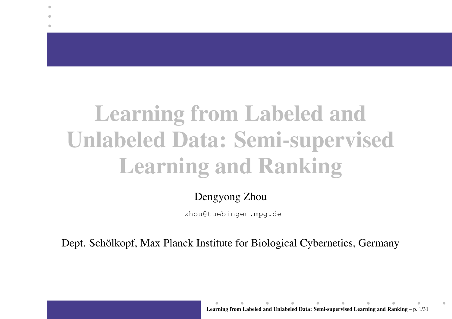# **Learning from Labeled and Unlabeled Data: Semi-supervised Learning and Ranking**

 $\bullet$ 

#### Dengyong Zhou

zhou@tuebingen.mpg.de

Dept. Schölkopf, Max Planck Institute for Biological Cybernetics, Germany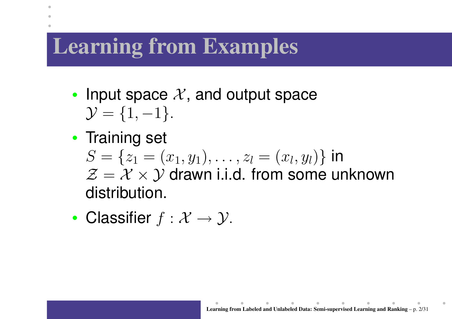## **Learning from Examples**

۰

- •• Input space  $\mathcal{X},$  and output space  $\mathcal{Y} = \{1, -1\}.$
- •• Training set  $S = \{z_1 = (x_1, y_1), \ldots, z_l = (x_l, y_l)\}$  in  $\mathcal{Z} = \mathcal{X} \times \mathcal{Y}$  drawn i.i.d. from some unknown distribution.
- •• Classifier  $f: \mathcal{X} \rightarrow \mathcal{Y}$ .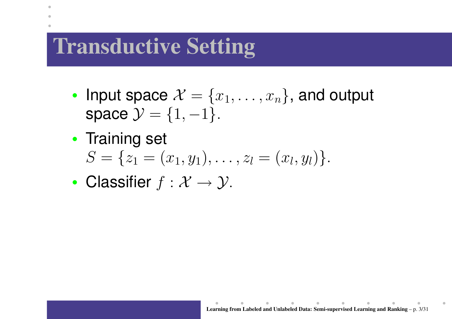## **Transductive Setting**

- •• Input space  $\mathcal{X} = \{x_1, \ldots, x_n\}$ , and output space  $\mathcal{Y} = \{1, -1\}.$
- •• Training set  $S = \{z_1 = (x_1, y_1), \ldots, z_l = (x_l, y_l)\}.$
- •• Classifier  $f: \mathcal{X} \rightarrow \mathcal{Y}$ .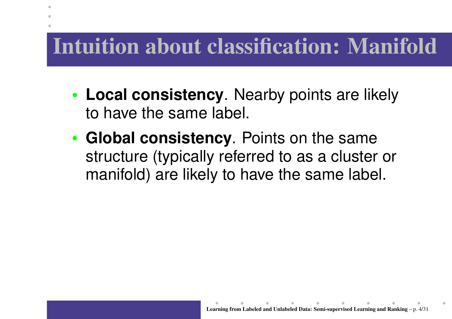#### **Intuition about classification: Manifold**

۰

- • **Local consistency**. Nearby points are likely to have the same label.
- • **Global consistency**. Points on the same structure (typically referred to as <sup>a</sup> cluster or manifold) are likely to have the same label.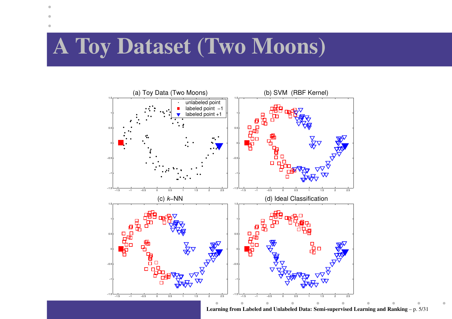#### **A Toy Dataset (Two Moons)**



**Learning from Labeled and Unlabeled Data: Semi-supervised Learning and Ranking** – p. 5/31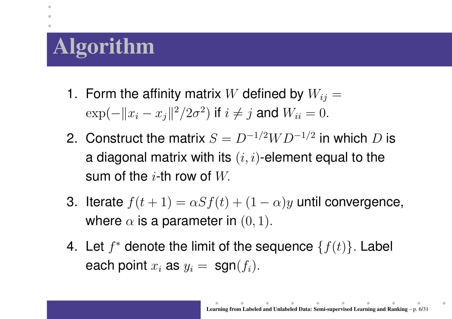# **Algorithm**

 $\bullet$ 

- 1. Form the affinity matrix  $W$  defined by  $W_{ij} = \mathbb{I}$  $\exp(-||x_i - x_j||^2/2\sigma^2)$  if  $i \neq j$  and  $W_{ii} = 0$ .
- 2. Construct the matrix  $S = D^{-1/2}WD^{-1/2}$  in which D is a diagonal matrix with its  $(i,i)\text{-element equal to the}$ sum of the  $i\text{-}\mathsf{th}$  row of  $W_{\cdot}$
- 3. Iterate  $f(t+1)=\alpha Sf(t)+(1-\alpha)y$  until convergence, where  $\alpha$  is a parameter in  $(0,1).$
- 4. Let  $f^*$  denote the limit of the sequence  $\{f(t)\}.$  Label each point  $x_i$  as  $y_i = \; \mathsf{sgn}(f_i).$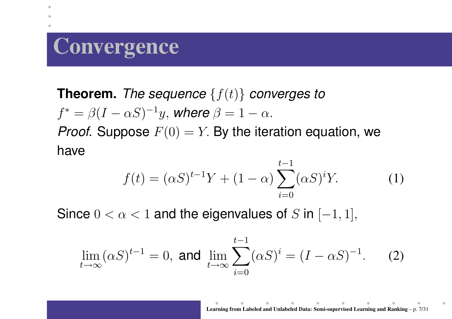## **Convergence**

۰

**Theorem.** The sequence  $\{f(t)\}$  converges to  $f^* = \beta (I - \alpha S)^{-1} y$ , where  $\beta = 1 - \alpha$ . *Proof.* Suppose  $F(0) = Y$ . By the iteration equation, we have

$$
f(t) = (\alpha S)^{t-1} Y + (1 - \alpha) \sum_{i=0}^{t-1} (\alpha S)^i Y.
$$
 (1)

Since  $0 < \alpha < 1$  and the eigenvalues of  $S$  in  $[-1,1],$ 

$$
\lim_{t \to \infty} (\alpha S)^{t-1} = 0, \text{ and } \lim_{t \to \infty} \sum_{i=0}^{t-1} (\alpha S)^i = (I - \alpha S)^{-1}.
$$
 (2)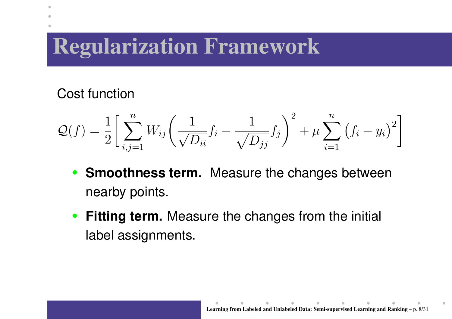## **Regularization Framework**

#### Cost function

$$
Q(f) = \frac{1}{2} \bigg[ \sum_{i,j=1}^{n} W_{ij} \bigg( \frac{1}{\sqrt{D_{ii}}} f_i - \frac{1}{\sqrt{D_{jj}}} f_j \bigg)^2 + \mu \sum_{i=1}^{n} (f_i - y_i)^2 \bigg]
$$

- **Smoothness term.** Measure the changes between nearb y points.
- **Fitting term.** Measure the changes from the initial label assignments.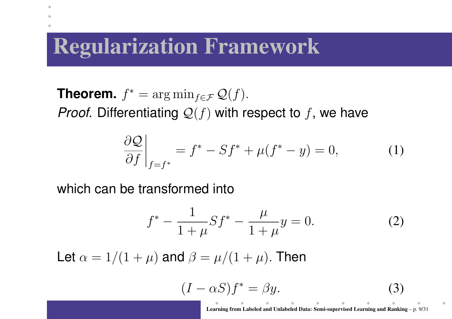#### **Regularization Framework**

**Theorem.**  $f^* = \arg\min_{f \in \mathcal{F}} \mathcal{Q}(f)$ . *Proof*. Differentiating  $\mathcal{Q}(f)$  with respect to  $f$ , we have

$$
\left. \frac{\partial \mathcal{Q}}{\partial f} \right|_{f=f^*} = f^* - Sf^* + \mu(f^* - y) = 0,\tag{1}
$$

which can be transformed into

 $\bullet$ 

$$
f^* - \frac{1}{1+\mu} S f^* - \frac{\mu}{1+\mu} y = 0.
$$
 (2)

Let  $\alpha = 1/(1+\mu)$  and  $\beta$ = $=\mu/(1+\mu).$  Then

$$
(I - \alpha S)f^* = \beta y.
$$
 (3)

**Learning from Labeled and Unlabeled Data: Semi-supervised Learning and Ranking** – p. 9/31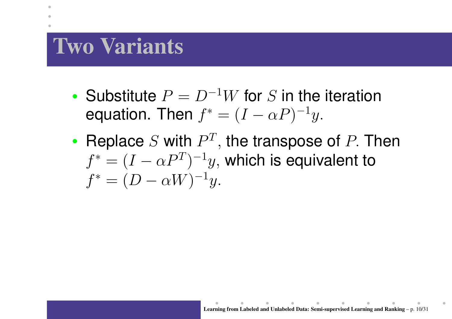## **Two Variants**

- Substitute  $P = D^{-1}W$  for S in the iteration equation. Then  $f^* = (I - \alpha P)^{-1}y$ .
- •• Replace S with  $P^{T}$ , the transpose of P. Then  $f^* = (I - \alpha P^T)^{-1}y$ , which is equivalent to  $f^* = (D - \alpha W)^{-1}y.$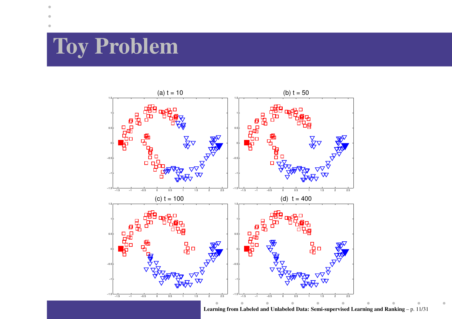# **Toy Problem**

 $\bullet$ 



**Learning from Labeled and Unlabeled Data: Semi-supervised Learning and Ranking** – p. 11/31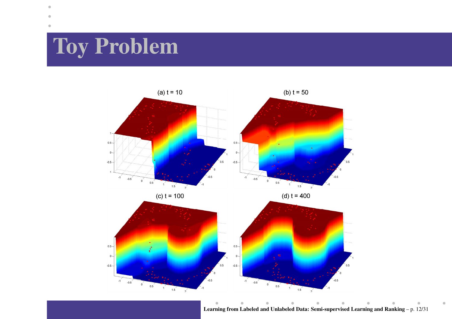# **Toy Problem**

 $-0.5 -$ 

 $-1$ 

 $-0.5$ 

 $\begin{array}{c}\n\bullet \\
\bullet \\
\bullet \\
\bullet \\
\bullet \\
\bullet\n\end{array}$ 

 $\mathbf{1}^{\prime}$  $1.5$ 

 $\overline{\phantom{a}}$ 



 $-0.5 -$ 

 $-0.5$ 

 $0.5$ 

**Learning from Labeled and Unlabeled Data: Semi-supervised Learning and Ranking** – p. 12/31

 $1.5$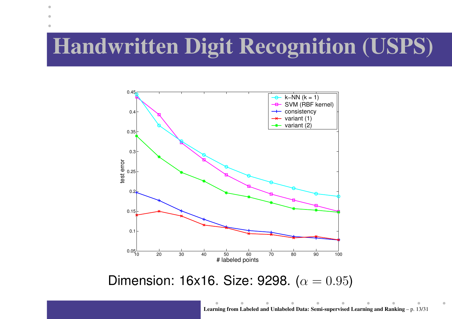## **Handwritten Digit Recognition (USPS)**

۰



Dimension: 16x16. Size: 9298. ( $\alpha = 0.95$ )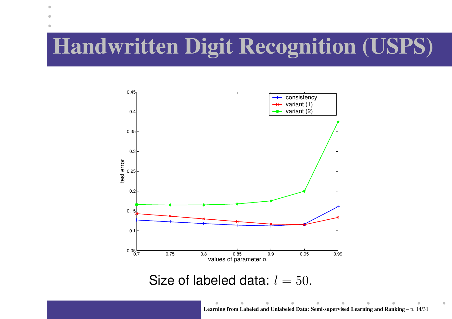# **Handwritten Digit Recognition (USPS)**

 $\bullet$ 



Size of labeled data:  $l=50.$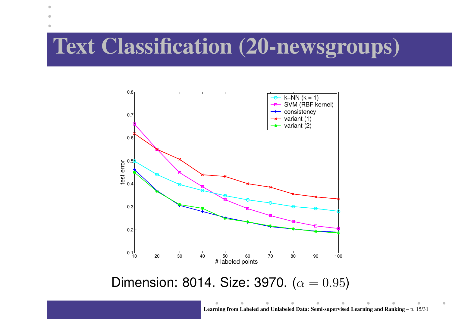#### **Text Classification (20-newsgroups)**

 $\bullet$ 



Dimension: 8014. Size: 3970. ( $\alpha = 0.95$ )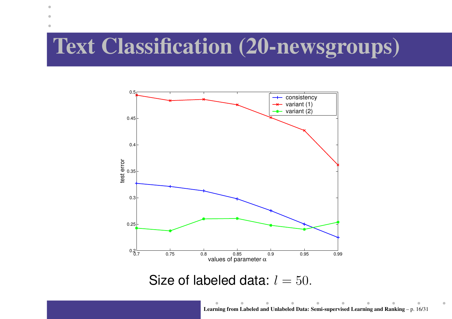#### **Text Classification (20-newsgroups)**

 $\bullet$ 



Size of labeled data:  $l=50.$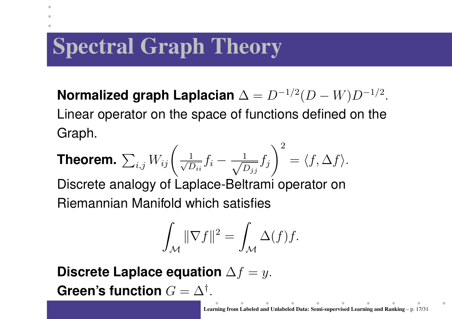# **Spectral Graph Theory**

۰

**Normalized graph Laplacian** <sup>∆</sup> <sup>=</sup> <sup>D</sup>−<sup>1</sup>/<sup>2</sup>(<sup>D</sup> <sup>−</sup> <sup>W</sup>)<sup>D</sup>−<sup>1</sup>/<sup>2</sup>. Linear operator on the space of functions defined on the Graph.

**Theorem.** 
$$
\sum_{i,j} W_{ij} \left( \frac{1}{\sqrt{D_{ii}}} f_i - \frac{1}{\sqrt{D_{jj}}} f_j \right)^2 = \langle f, \Delta f \rangle.
$$

Discrete analogy of Laplace-Beltrami operator on Riemannian Manifold which satisfies

$$
\int_{\mathcal{M}} \|\nabla f\|^2 = \int_{\mathcal{M}} \Delta(f) f.
$$

**Discrete Laplace equation** ∆f <sup>=</sup> y.  $\bm{\mathsf{Green's}}$  function  $G = \Delta^\dagger.$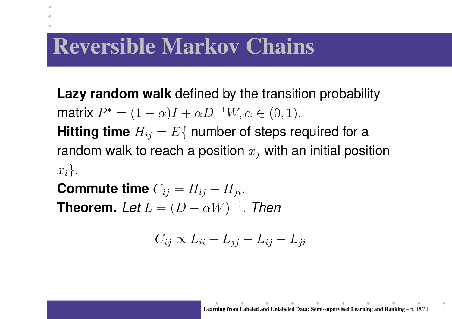## **Reversible Markov Chains**

۰

**Lazy random walk** defined by the transition probability matrix  $P^*=(1-\alpha)I+\alpha D^{-1}W, \alpha\in(0,1).$ **Hitting time**  $H_{ij} = E\{$  number of steps required for a random walk to reach a position  $x_j$  with an initial position  $x_i$ .

 $\textbf{Commute time } C_{ij} = H_{ij} + H_{ji}.$ **Theorem.** Let  $L = (D - \alpha W)^{-1}$ . Then

$$
C_{ij} \propto L_{ii} + L_{jj} - L_{ij} - L_{ji}
$$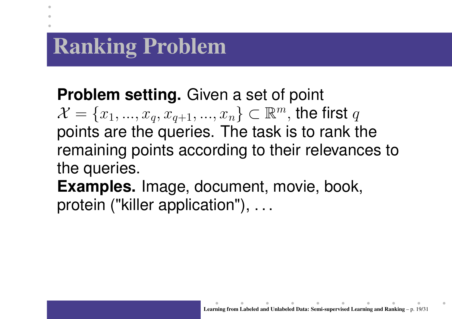# **Ranking Problem**

۰

**Problem setting.** Given <sup>a</sup> set of point  $\mathcal{X} = \{x_1, ..., x_q, x_{q+1}, ..., x_n\} \subset \mathbb{R}^m,$  the first  $q$ points are the queries. The task is to rank the remaining points according to their relevances to the queries.

**Examples.** Image, document, movie, book, protein ("killer application"), . . .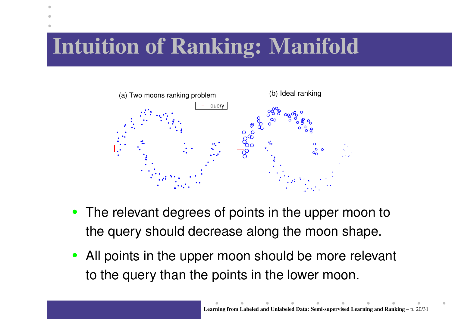# **Intuition of Ranking: Manifold**



- The relevant degrees of points in the upper moon to the query should decrease along the moon shape.
- •• All points in the upper moon should be more relevant to the query than the points in the lower moon.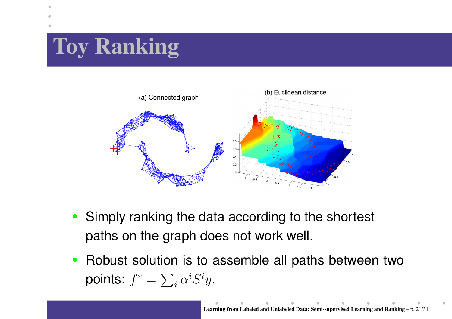# **Toy Ranking**



- Simply ranking the data according to the shortest paths on the graph does not work well.
- $\bullet$ • Robust solution is to assemble all paths between two points:  $f^*=\sum_i \alpha^i S^i y.$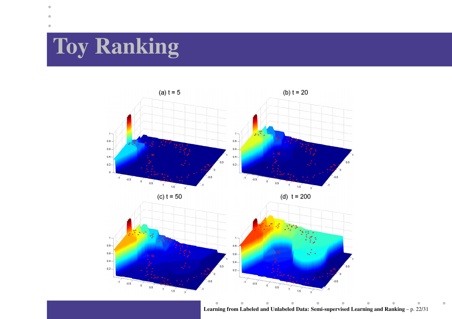# **Toy Ranking**



**Learning from Labeled and Unlabeled Data: Semi-supervised Learning and Ranking** – p. 22/31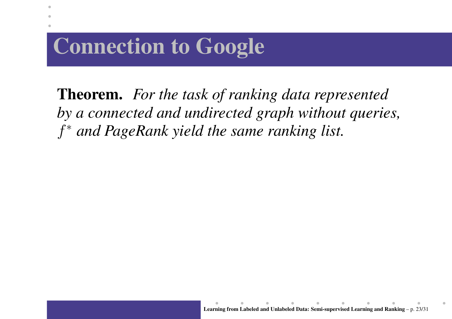# **Connection to Google**

**Theorem.** *For the task of ranking data represented by <sup>a</sup> connected and undirected graph without queries,* f <sup>∗</sup> *and PageRank yield the same ranking list.*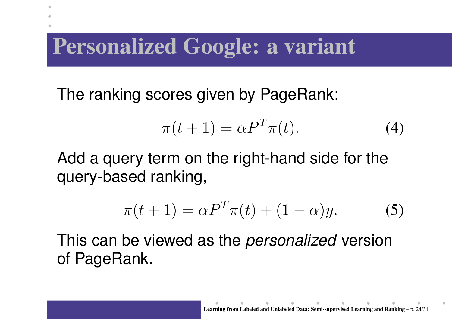## **Personalized Google: <sup>a</sup> variant**

۰

The ranking scores given by PageRank:

$$
\pi(t+1) = \alpha P^T \pi(t). \tag{4}
$$

Add <sup>a</sup> query term on the right-hand side for the query-based ranking,

$$
\pi(t+1) = \alpha P^T \pi(t) + (1-\alpha)y.
$$
 (5)

This can be viewed as the *personalized* version of PageRank.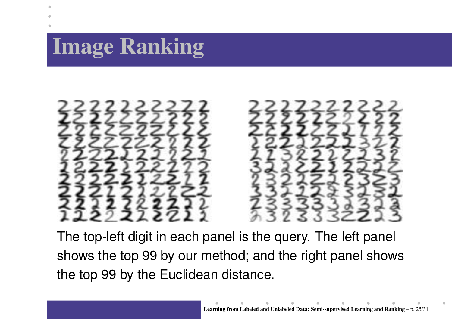# **Image Ranking**



The top-left digit in each panel is the query. The left panel shows the top 99 by our method; and the right panel shows the top 99 by the Euclidean distance.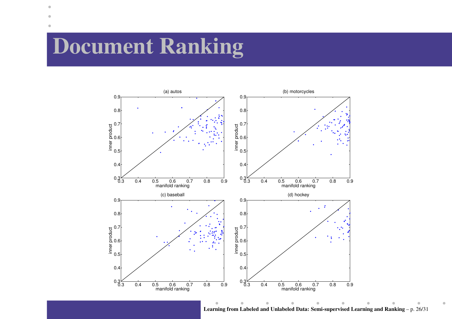## **Document Ranking**

 $\bullet$ 



**Learning from Labeled and Unlabeled Data: Semi-supervised Learning and Ranking** – p. 26/31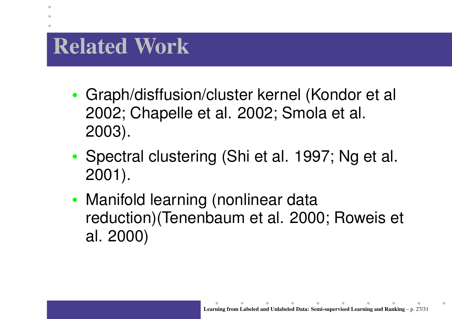## **Related Work**

- • Graph/disffusion/cluster kernel (Kondor et al 2002; Chapelle et al. 2002; Smola et al. 2003).
- •• Spectral clustering (Shi et al. 1997; Ng et al. 2001).
- • Manifold learning (nonlinear data reduction)(Tenenbaum et al. 2000; Roweis et al. 2000)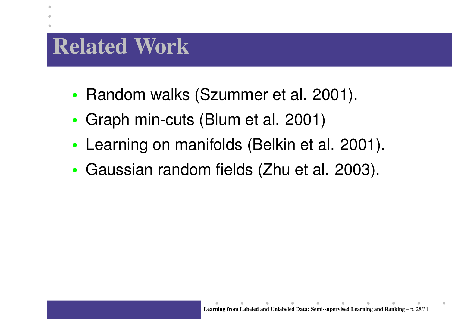## **Related Work**

۰

- Random walks (Szummer et al. 2001).
- •Graph min-cuts (Blum et al. 2001)
- •Learning on manifolds (Belkin et al. 2001).
- Gaussian random fields (Zhu et al. 2003).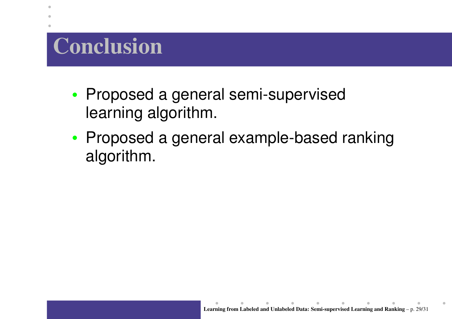# **Conclusion**

- •• Proposed a general semi-supervised learning algorithm.
- •• Proposed a general example-based ranking algorithm.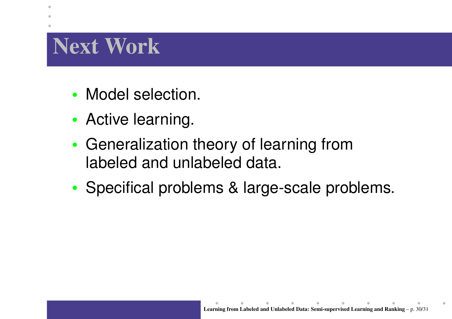# **Next Work**

- Model selection.
- •• Active learning.
- • Generalization theory of learning from labeled and unlabeled data.
- •• Specifical problems & large-scale problems.